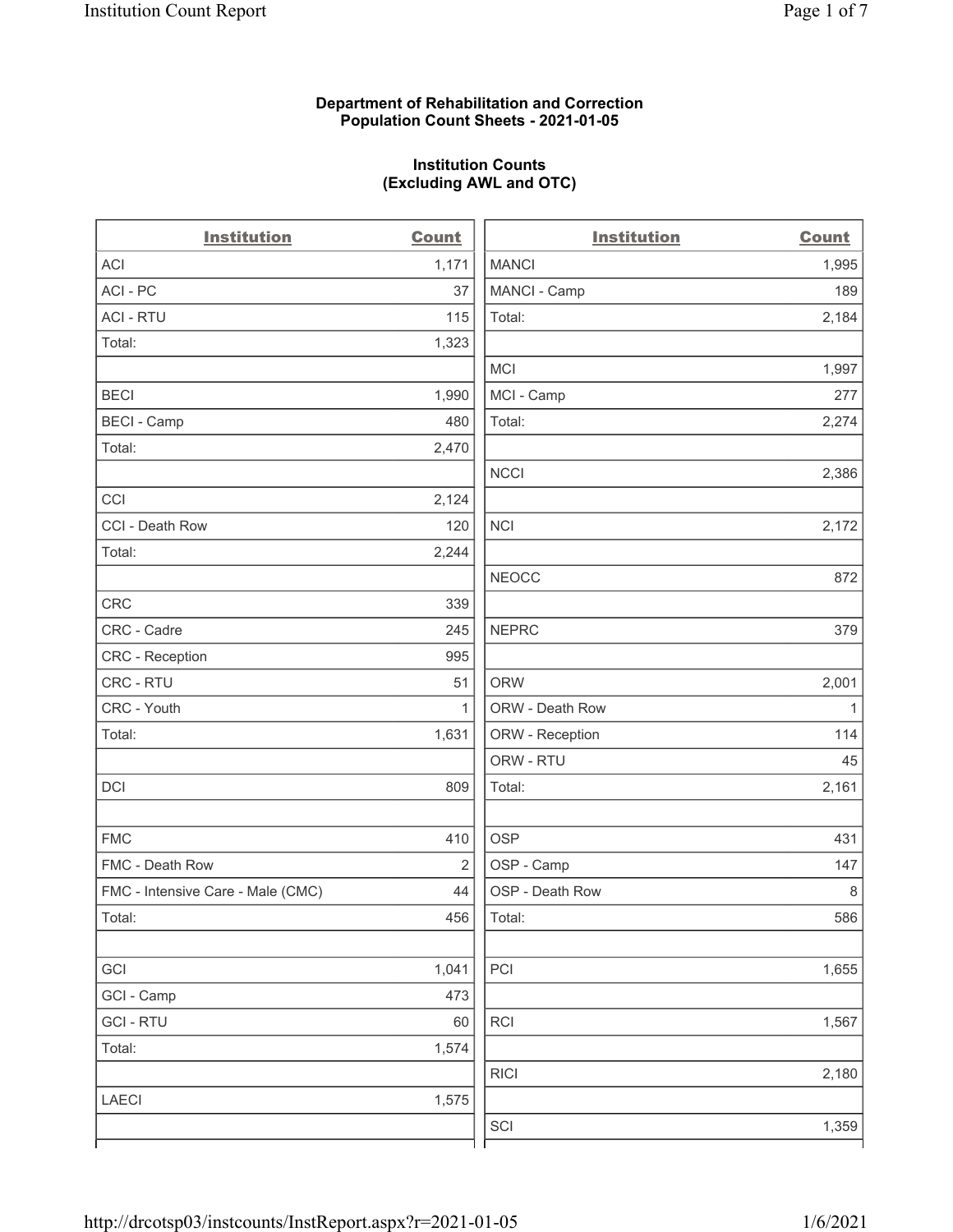### Department of Rehabilitation and Correction Population Count Sheets - 2021-01-05

### Institution Counts (Excluding AWL and OTC)

. .

| <b>Institution</b>                | <b>Count</b> | <b>Institution</b> | <b>Count</b> |
|-----------------------------------|--------------|--------------------|--------------|
| <b>ACI</b>                        | 1,171        | <b>MANCI</b>       | 1,995        |
| ACI-PC                            | 37           | MANCI - Camp       | 189          |
| <b>ACI - RTU</b>                  | 115          | Total:             | 2,184        |
| Total:                            | 1,323        |                    |              |
|                                   |              | <b>MCI</b>         | 1,997        |
| <b>BECI</b>                       | 1,990        | MCI - Camp         | 277          |
| <b>BECI - Camp</b>                | 480          | Total:             | 2,274        |
| Total:                            | 2,470        |                    |              |
|                                   |              | <b>NCCI</b>        | 2,386        |
| CCI                               | 2,124        |                    |              |
| CCI - Death Row                   | 120          | <b>NCI</b>         | 2,172        |
| Total:                            | 2,244        |                    |              |
|                                   |              | <b>NEOCC</b>       | 872          |
| <b>CRC</b>                        | 339          |                    |              |
| CRC - Cadre                       | 245          | <b>NEPRC</b>       | 379          |
| <b>CRC</b> - Reception            | 995          |                    |              |
| CRC - RTU                         | 51           | <b>ORW</b>         | 2,001        |
| CRC - Youth                       | 1            | ORW - Death Row    | $\mathbf{1}$ |
| Total:                            | 1,631        | ORW - Reception    | 114          |
|                                   |              | ORW - RTU          | 45           |
| DCI                               | 809          | Total:             | 2,161        |
| <b>FMC</b>                        | 410          | <b>OSP</b>         | 431          |
| FMC - Death Row                   | 2            | OSP - Camp         | 147          |
| FMC - Intensive Care - Male (CMC) | 44           | OSP - Death Row    | 8            |
| Total:                            | 456          | Total:             | 586          |
| GCI                               | 1,041        | PCI                | 1,655        |
| GCI - Camp                        | 473          |                    |              |
| <b>GCI-RTU</b>                    | 60           | RCI                | 1,567        |
| Total:                            | 1,574        |                    |              |
|                                   |              | <b>RICI</b>        | 2,180        |
| LAECI                             | 1,575        |                    |              |
|                                   |              | SCI                | 1,359        |
|                                   |              |                    |              |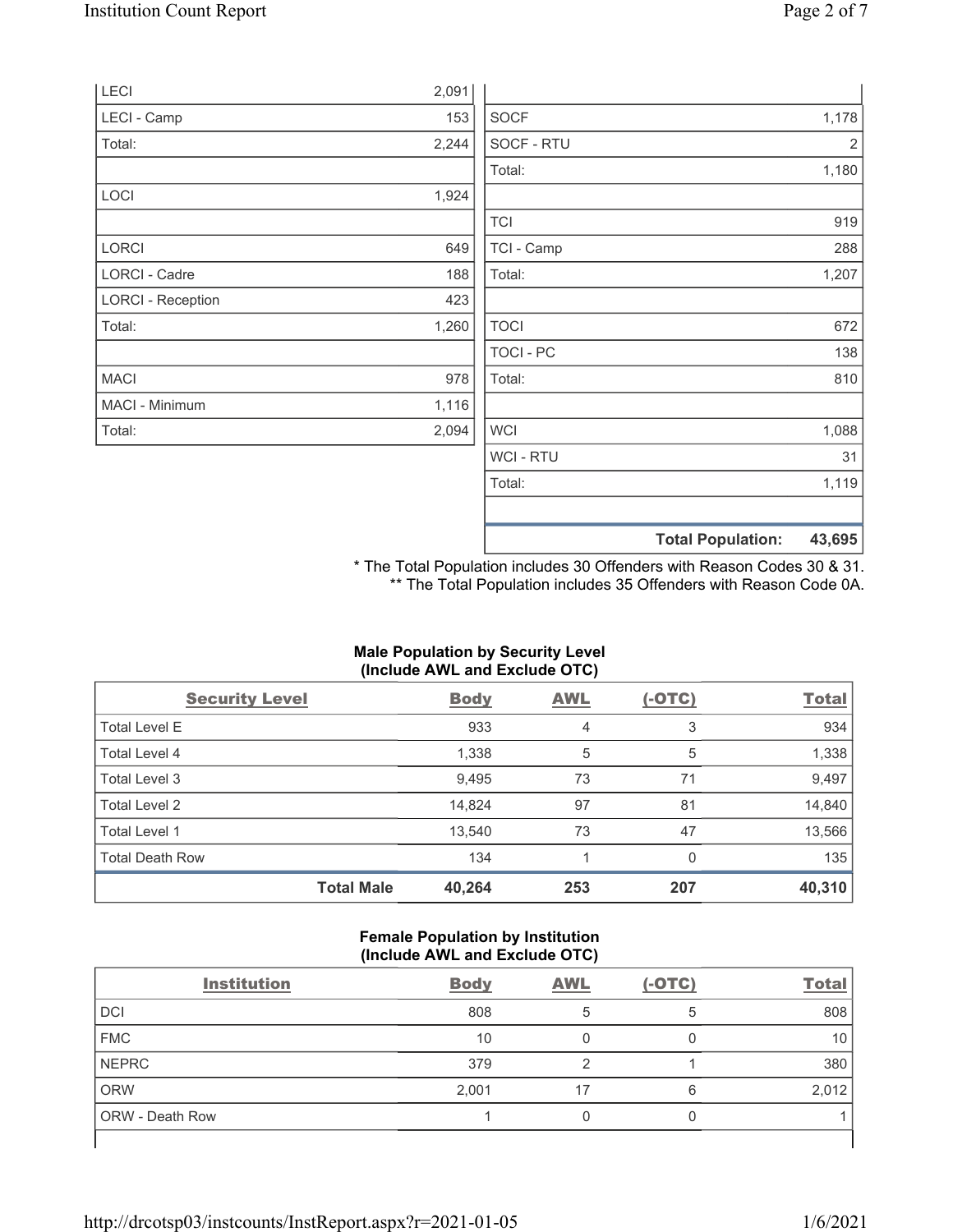|                          |       |             | <b>Total Population:</b> | 43,695         |
|--------------------------|-------|-------------|--------------------------|----------------|
|                          |       |             |                          |                |
|                          |       | Total:      |                          | 1,119          |
|                          |       | WCI - RTU   |                          | 31             |
| Total:                   | 2,094 | <b>WCI</b>  |                          | 1,088          |
| MACI - Minimum           | 1,116 |             |                          |                |
| <b>MACI</b>              | 978   | Total:      |                          | 810            |
|                          |       | TOCI - PC   |                          | 138            |
| Total:                   | 1,260 | <b>TOCI</b> |                          | 672            |
| <b>LORCI - Reception</b> | 423   |             |                          |                |
| LORCI - Cadre            | 188   | Total:      |                          | 1,207          |
| <b>LORCI</b>             | 649   | TCI - Camp  |                          | 288            |
|                          |       | <b>TCI</b>  |                          | 919            |
| <b>LOCI</b>              | 1,924 |             |                          |                |
|                          |       | Total:      |                          | 1,180          |
| Total:                   | 2,244 | SOCF - RTU  |                          | $\overline{2}$ |
| LECI - Camp              | 153   | <b>SOCF</b> |                          | 1,178          |
| LECI                     | 2,091 |             |                          |                |

\* The Total Population includes 30 Offenders with Reason Codes 30 & 31. \*\* The Total Population includes 35 Offenders with Reason Code 0A.

# Male Population by Security Level (Include AWL and Exclude OTC)

| <b>Security Level</b>  |                   | <b>Body</b> | <b>AWL</b> | $(-OTC)$ | <b>Total</b> |
|------------------------|-------------------|-------------|------------|----------|--------------|
| <b>Total Level E</b>   |                   | 933         | 4          | 3        | 934          |
| Total Level 4          |                   | 1,338       | 5          | 5        | 1,338        |
| Total Level 3          |                   | 9,495       | 73         | 71       | 9,497        |
| Total Level 2          |                   | 14,824      | 97         | 81       | 14,840       |
| Total Level 1          |                   | 13,540      | 73         | 47       | 13,566       |
| <b>Total Death Row</b> |                   | 134         |            | 0        | 135          |
|                        | <b>Total Male</b> | 40,264      | 253        | 207      | 40,310       |

#### Female Population by Institution (Include AWL and Exclude OTC)

| <b>Institution</b>     | <b>Body</b> | <b>AWL</b> | $(-OTC)$ | <b>Total</b> |
|------------------------|-------------|------------|----------|--------------|
| <b>DCI</b>             | 808         |            |          | 808          |
| <b>FMC</b>             | 10          |            |          | 10           |
| <b>NEPRC</b>           | 379         |            |          | 380          |
| <b>ORW</b>             | 2,001       | 17         | 6        | 2,012        |
| <b>ORW</b> - Death Row |             |            |          |              |
|                        |             |            |          |              |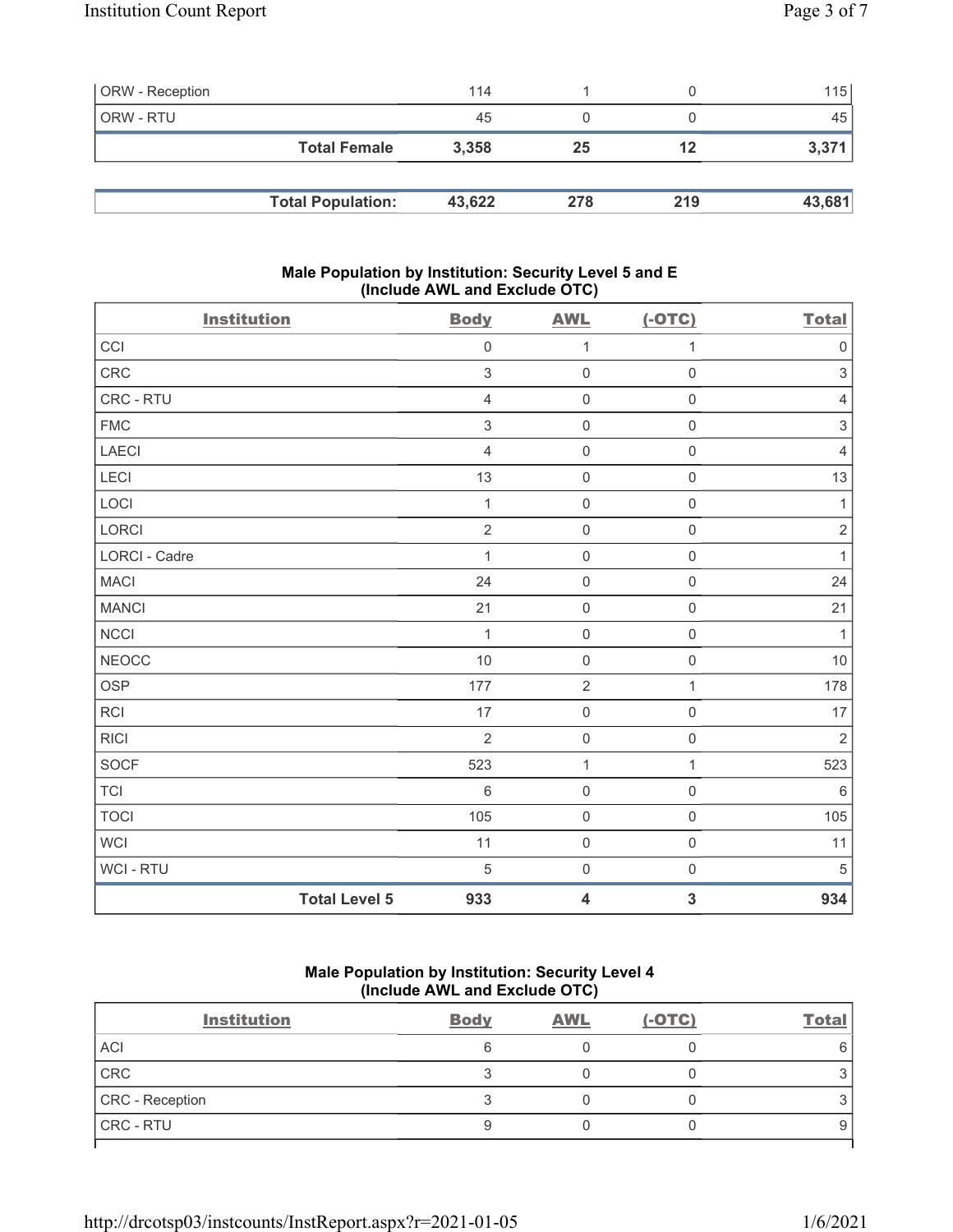| <b>ORW</b> - Reception |                          | 114    |     |     | 115    |
|------------------------|--------------------------|--------|-----|-----|--------|
| ORW - RTU              |                          | 45     |     |     | 45     |
|                        | <b>Total Female</b>      | 3,358  | 25  | 12  | 3,371  |
|                        |                          |        |     |     |        |
|                        | <b>Total Population:</b> | 43,622 | 278 | 219 | 43,681 |

### Male Population by Institution: Security Level 5 and E (Include AWL and Exclude OTC)

| <b>Institution</b>   |                      | <b>Body</b>     | <b>AWL</b>              | $(-OTC)$                | <b>Total</b>   |
|----------------------|----------------------|-----------------|-------------------------|-------------------------|----------------|
| CCI                  |                      | $\mathbf 0$     | $\mathbf 1$             | 1                       | $\mathbf 0$    |
| <b>CRC</b>           |                      | 3               | $\mathbf 0$             | $\mathsf{O}\xspace$     | $\sqrt{3}$     |
| CRC - RTU            |                      | $\overline{4}$  | $\mathsf 0$             | $\mathsf{O}\xspace$     | $\overline{4}$ |
| <b>FMC</b>           |                      | 3               | $\mathbf 0$             | $\mathsf{O}\xspace$     | 3              |
| <b>LAECI</b>         |                      | $\overline{4}$  | $\mathbf 0$             | $\mathsf{O}\xspace$     | $\overline{4}$ |
| LECI                 |                      | 13              | $\mathbf 0$             | $\mathsf{O}\xspace$     | 13             |
| LOCI                 |                      | 1               | $\mathbf 0$             | $\mathsf{O}\xspace$     | 1              |
| LORCI                |                      | $\overline{2}$  | $\mathsf 0$             | $\mathsf{O}\xspace$     | $\sqrt{2}$     |
| <b>LORCI - Cadre</b> |                      | 1               | $\mathbf 0$             | $\mathsf{O}\xspace$     | 1              |
| <b>MACI</b>          |                      | 24              | $\mathsf 0$             | $\mathsf{O}\xspace$     | 24             |
| <b>MANCI</b>         |                      | 21              | $\mathsf{O}\xspace$     | $\mathsf{O}\xspace$     | 21             |
| NCCI                 |                      | 1               | $\mathbf 0$             | $\mathsf{O}\xspace$     | $\mathbf{1}$   |
| <b>NEOCC</b>         |                      | 10              | $\mathsf 0$             | $\mathbf 0$             | 10             |
| <b>OSP</b>           |                      | 177             | $\sqrt{2}$              | $\mathbf{1}$            | 178            |
| <b>RCI</b>           |                      | 17              | $\mathsf 0$             | $\mathsf{O}\xspace$     | 17             |
| <b>RICI</b>          |                      | $\overline{2}$  | $\mathsf 0$             | $\mathsf{O}\xspace$     | $\sqrt{2}$     |
| <b>SOCF</b>          |                      | 523             | $\mathbf{1}$            | 1                       | 523            |
| <b>TCI</b>           |                      | $6\phantom{1}6$ | $\mathbf 0$             | $\mathbf 0$             | $6\,$          |
| <b>TOCI</b>          |                      | 105             | $\mathbf 0$             | $\mathsf{O}\xspace$     | 105            |
| <b>WCI</b>           |                      | 11              | $\mathbf 0$             | $\mathsf{O}\xspace$     | 11             |
| WCI - RTU            |                      | 5               | $\mathsf 0$             | $\mathsf{O}\xspace$     | $\overline{5}$ |
|                      | <b>Total Level 5</b> | 933             | $\overline{\mathbf{4}}$ | $\overline{\mathbf{3}}$ | 934            |

## Male Population by Institution: Security Level 4 (Include AWL and Exclude OTC)

| <b>Institution</b> | <b>Body</b> | <b>AWL</b> | $(-OTC)$ | <b>Total</b> |
|--------------------|-------------|------------|----------|--------------|
| <b>ACI</b>         |             |            |          | 6            |
| CRC                |             |            |          |              |
| CRC - Reception    |             |            |          |              |
| <b>CRC - RTU</b>   |             |            |          | 9            |
|                    |             |            |          |              |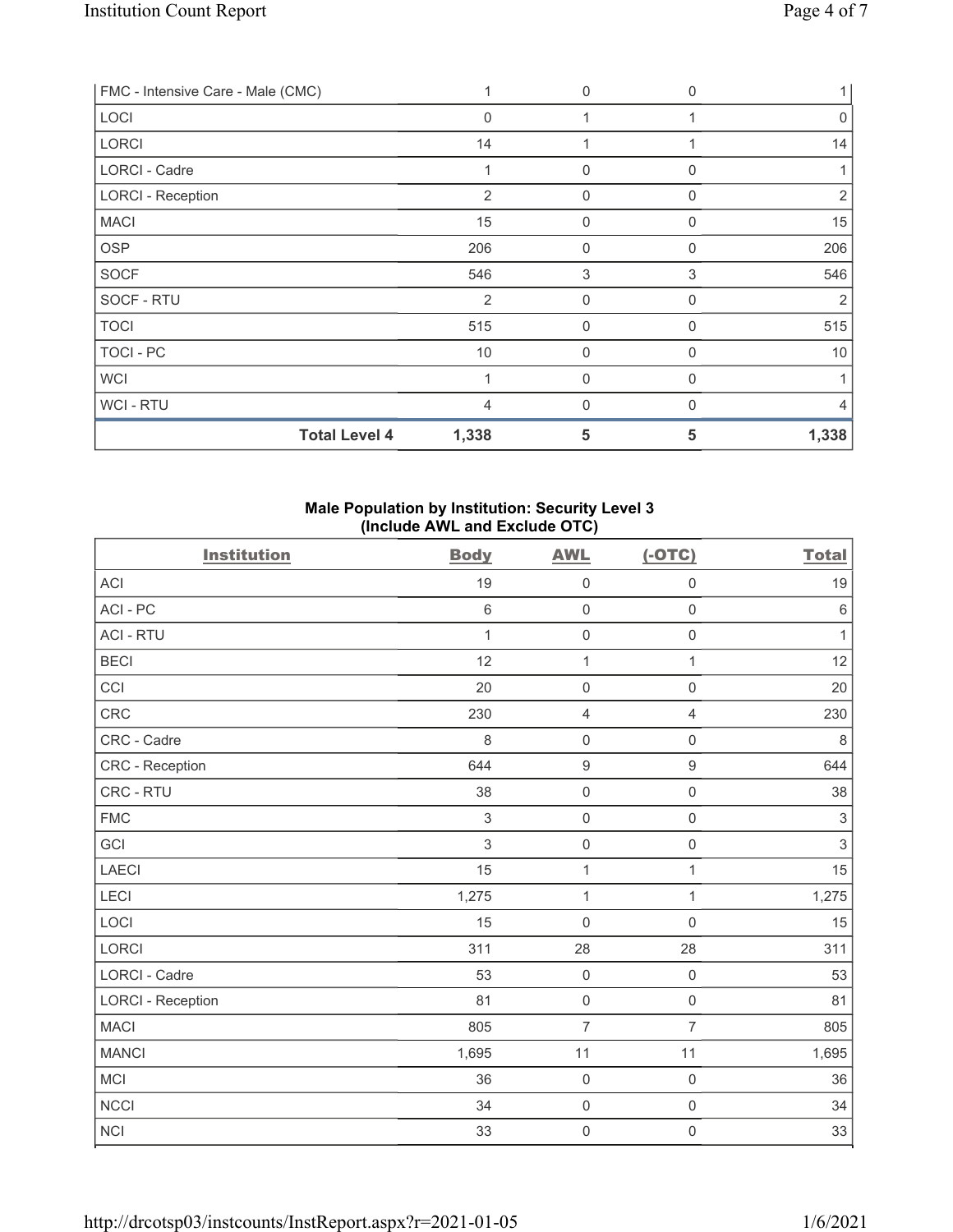| FMC - Intensive Care - Male (CMC) |                | 0              | $\Omega$ | 1     |
|-----------------------------------|----------------|----------------|----------|-------|
| LOCI                              | $\Omega$       |                |          | 0     |
| <b>LORCI</b>                      | 14             |                |          | 14    |
| LORCI - Cadre                     |                | $\mathbf{0}$   | 0        |       |
| <b>LORCI - Reception</b>          | $\overline{2}$ | $\mathbf{0}$   | 0        | 2     |
| <b>MACI</b>                       | 15             | $\mathbf{0}$   | 0        | 15    |
| <b>OSP</b>                        | 206            | $\mathbf 0$    | 0        | 206   |
| <b>SOCF</b>                       | 546            | 3              | 3        | 546   |
| SOCF - RTU                        | $\overline{2}$ | $\overline{0}$ | 0        | 2     |
| <b>TOCI</b>                       | 515            | 0              | 0        | 515   |
| TOCI - PC                         | 10             | $\mathbf{0}$   | 0        | 10    |
| <b>WCI</b>                        |                | $\mathbf{0}$   | $\Omega$ |       |
| WCI - RTU                         | 4              | 0              |          |       |
| <b>Total Level 4</b>              | 1,338          | 5              | 5        | 1,338 |

### Male Population by Institution: Security Level 3 (Include AWL and Exclude OTC)

| <b>Institution</b>       | <b>Body</b>  | <b>AWL</b>          | $(-OTC)$            | <b>Total</b>   |
|--------------------------|--------------|---------------------|---------------------|----------------|
| ACI                      | 19           | $\mathbf 0$         | $\mathsf{O}\xspace$ | 19             |
| ACI-PC                   | 6            | $\mathbf 0$         | $\mathsf{O}\xspace$ | $\,6\,$        |
| <b>ACI - RTU</b>         | $\mathbf{1}$ | $\mathbf 0$         | $\mathsf{O}\xspace$ | $\mathbf{1}$   |
| <b>BECI</b>              | 12           | 1                   | $\mathbf{1}$        | 12             |
| CCI                      | 20           | $\mathbf 0$         | $\mathbf 0$         | 20             |
| CRC                      | 230          | $\overline{4}$      | $\overline{4}$      | 230            |
| CRC - Cadre              | 8            | $\mathbf 0$         | $\mathsf{O}\xspace$ | $\,8\,$        |
| CRC - Reception          | 644          | $\boldsymbol{9}$    | $\boldsymbol{9}$    | 644            |
| CRC - RTU                | 38           | $\mathbf 0$         | $\mathsf{O}\xspace$ | 38             |
| <b>FMC</b>               | 3            | $\mathbf 0$         | $\mathsf 0$         | $\sqrt{3}$     |
| GCI                      | 3            | $\mathbf 0$         | $\mathsf{O}\xspace$ | $\mathfrak{S}$ |
| <b>LAECI</b>             | 15           | $\mathbf 1$         | $\mathbf{1}$        | 15             |
| LECI                     | 1,275        | $\mathbf 1$         | $\mathbf{1}$        | 1,275          |
| LOCI                     | 15           | $\mathbf 0$         | $\mathsf{O}\xspace$ | 15             |
| <b>LORCI</b>             | 311          | 28                  | 28                  | 311            |
| <b>LORCI - Cadre</b>     | 53           | $\mathbf 0$         | $\mathsf{O}\xspace$ | 53             |
| <b>LORCI - Reception</b> | 81           | $\mathbf 0$         | $\mathbf 0$         | 81             |
| <b>MACI</b>              | 805          | $\overline{7}$      | $\overline{7}$      | 805            |
| <b>MANCI</b>             | 1,695        | 11                  | 11                  | 1,695          |
| <b>MCI</b>               | 36           | $\mathbf 0$         | $\mathsf 0$         | 36             |
| <b>NCCI</b>              | 34           | $\mathbf 0$         | $\mathsf 0$         | 34             |
| NCI                      | 33           | $\mathsf{O}\xspace$ | $\mathsf{O}\xspace$ | 33             |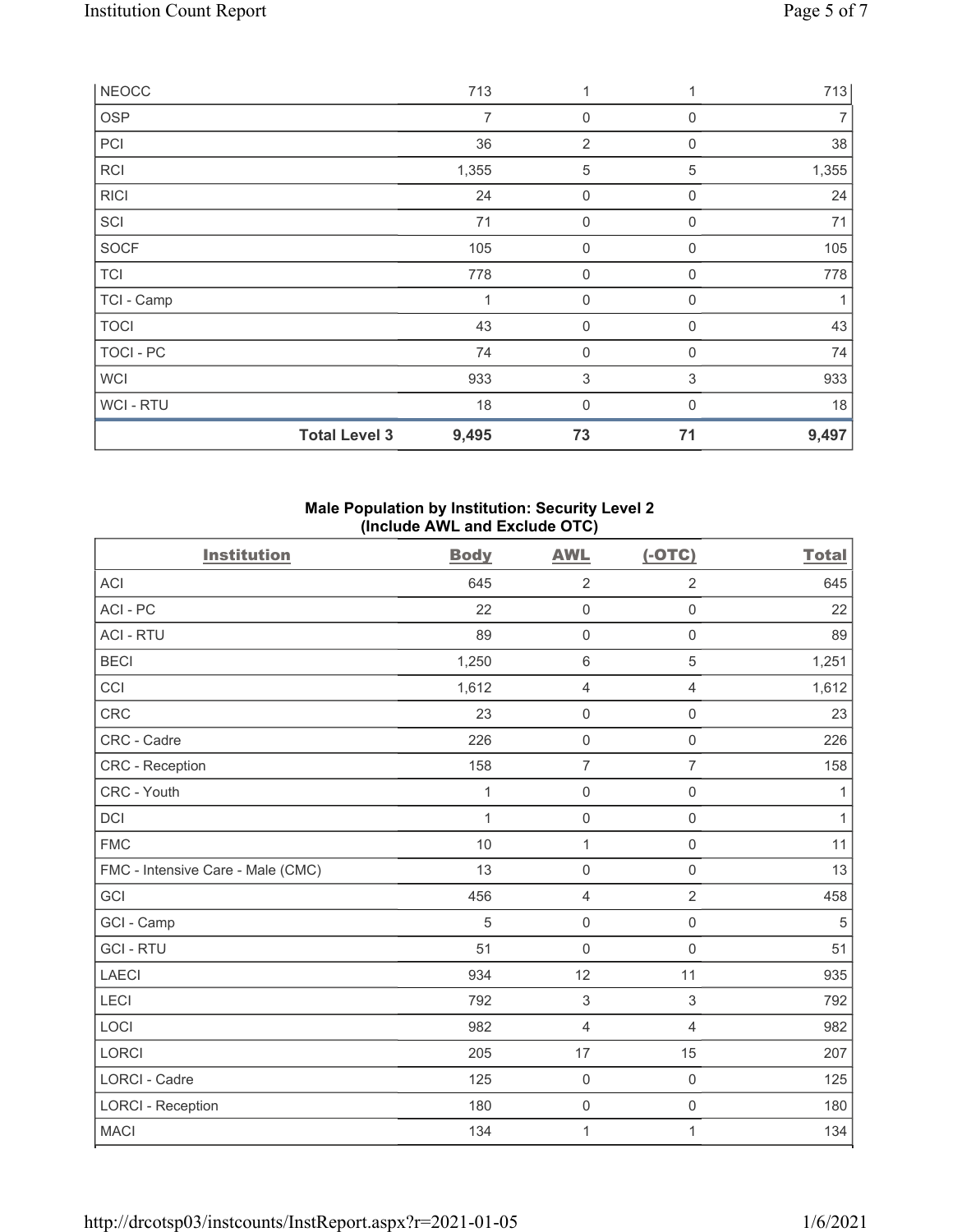| <b>NEOCC</b> |                      | 713   | 1                |             | 713   |
|--------------|----------------------|-------|------------------|-------------|-------|
| <b>OSP</b>   |                      | 7     | 0                | $\Omega$    | 7     |
| PCI          |                      | 36    | $\overline{2}$   | $\mathbf 0$ | 38    |
| <b>RCI</b>   |                      | 1,355 | $\mathbf 5$      | 5           | 1,355 |
| <b>RICI</b>  |                      | 24    | 0                | 0           | 24    |
| SCI          |                      | 71    | $\boldsymbol{0}$ | 0           | 71    |
| <b>SOCF</b>  |                      | 105   | $\mathbf 0$      | 0           | 105   |
| <b>TCI</b>   |                      | 778   | 0                | $\Omega$    | 778   |
| TCI - Camp   |                      | 1     | $\mathbf 0$      | 0           |       |
| <b>TOCI</b>  |                      | 43    | $\boldsymbol{0}$ | 0           | 43    |
| TOCI - PC    |                      | 74    | 0                | 0           | 74    |
| <b>WCI</b>   |                      | 933   | $\sqrt{3}$       | 3           | 933   |
| WCI - RTU    |                      | 18    | 0                | $\Omega$    | 18    |
|              | <b>Total Level 3</b> | 9,495 | 73               | 71          | 9,497 |

### Male Population by Institution: Security Level 2 (Include AWL and Exclude OTC)

| <b>Institution</b>                | <b>Body</b>  | <b>AWL</b>          | $(-OTC)$            | <b>Total</b> |
|-----------------------------------|--------------|---------------------|---------------------|--------------|
| <b>ACI</b>                        | 645          | $\overline{2}$      | $\overline{2}$      | 645          |
| ACI - PC                          | 22           | $\mathbf 0$         | $\mathsf 0$         | 22           |
| <b>ACI - RTU</b>                  | 89           | $\mathsf{O}\xspace$ | $\mathsf{O}\xspace$ | 89           |
| <b>BECI</b>                       | 1,250        | $\,6\,$             | $\sqrt{5}$          | 1,251        |
| CCI                               | 1,612        | 4                   | $\overline{4}$      | 1,612        |
| CRC                               | 23           | $\mathsf{O}\xspace$ | $\mathsf 0$         | 23           |
| CRC - Cadre                       | 226          | $\mathsf 0$         | $\mathbf 0$         | 226          |
| CRC - Reception                   | 158          | $\overline{7}$      | $\overline{7}$      | 158          |
| CRC - Youth                       | 1            | $\mathsf{O}\xspace$ | $\mathsf 0$         | 1            |
| DCI                               | $\mathbf{1}$ | $\mathsf 0$         | $\mathsf 0$         | $\mathbf{1}$ |
| <b>FMC</b>                        | 10           | $\mathbf{1}$        | $\mathsf{O}\xspace$ | 11           |
| FMC - Intensive Care - Male (CMC) | 13           | $\mathsf 0$         | $\mathsf 0$         | 13           |
| GCI                               | 456          | $\overline{4}$      | $\overline{2}$      | 458          |
| GCI - Camp                        | 5            | $\mathsf{O}\xspace$ | $\mathsf{O}\xspace$ | 5            |
| <b>GCI-RTU</b>                    | 51           | $\mathbf 0$         | $\mathsf 0$         | 51           |
| <b>LAECI</b>                      | 934          | 12                  | 11                  | 935          |
| LECI                              | 792          | 3                   | $\,$ 3 $\,$         | 792          |
| LOCI                              | 982          | $\overline{4}$      | $\overline{4}$      | 982          |
| LORCI                             | 205          | 17                  | 15                  | 207          |
| LORCI - Cadre                     | 125          | $\mathbf 0$         | $\mathsf 0$         | 125          |
| <b>LORCI - Reception</b>          | 180          | $\mathsf{O}\xspace$ | $\mathsf{O}\xspace$ | 180          |
| <b>MACI</b>                       | 134          | $\mathbf 1$         | 1                   | 134          |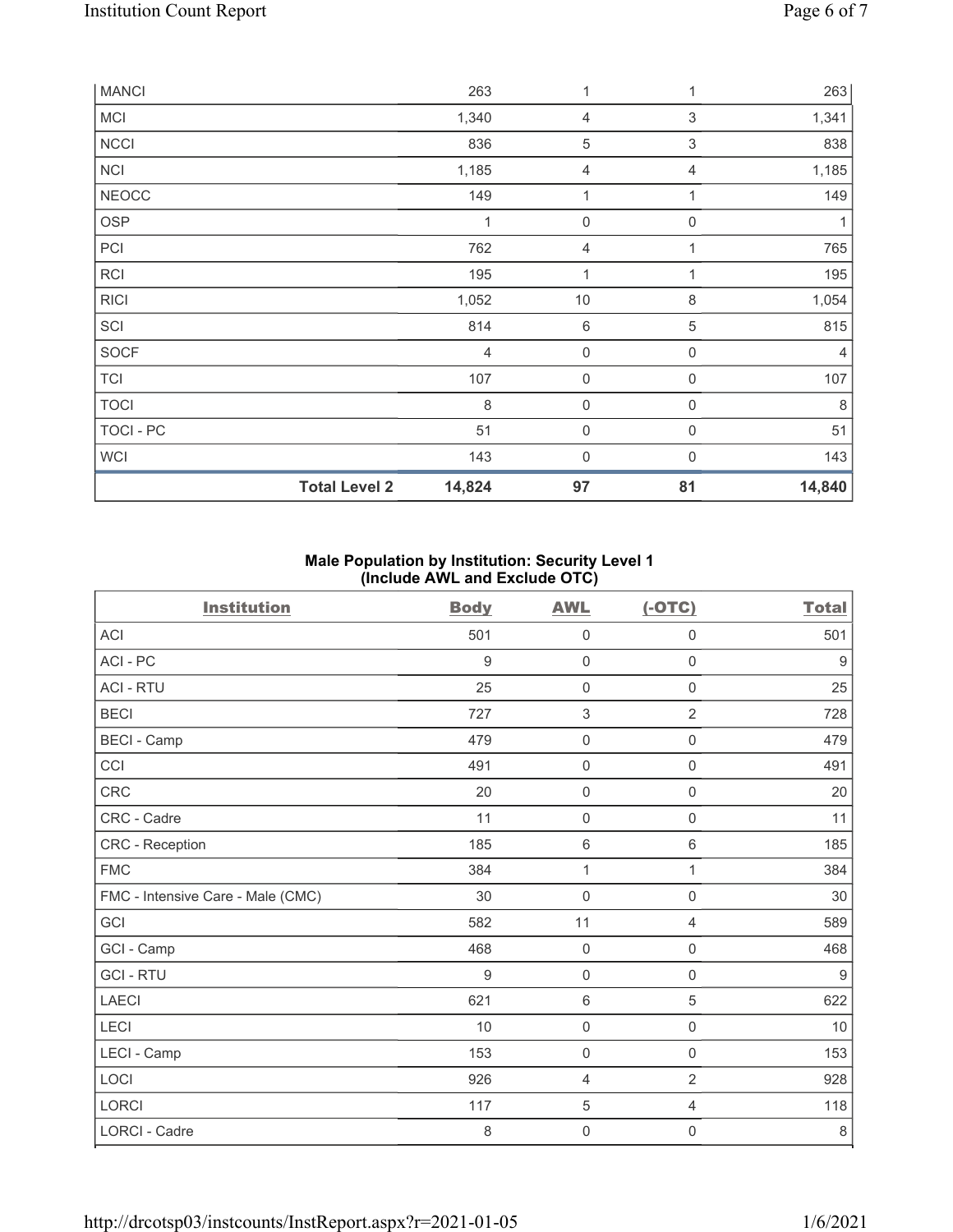| <b>MANCI</b> |                      | 263            | 1                   | 1            | 263            |
|--------------|----------------------|----------------|---------------------|--------------|----------------|
| MCI          |                      | 1,340          | $\overline{4}$      | 3            | 1,341          |
| <b>NCCI</b>  |                      | 836            | 5                   | $\sqrt{3}$   | 838            |
| <b>NCI</b>   |                      | 1,185          | 4                   | 4            | 1,185          |
| <b>NEOCC</b> |                      | 149            | 1                   | 1            | 149            |
| <b>OSP</b>   |                      | $\mathbf 1$    | $\mathbf 0$         | 0            | 1              |
| PCI          |                      | 762            | 4                   |              | 765            |
| <b>RCI</b>   |                      | 195            | 1                   | 1            | 195            |
| <b>RICI</b>  |                      | 1,052          | $10$                | 8            | 1,054          |
| SCI          |                      | 814            | 6                   | $\mathbf 5$  | 815            |
| <b>SOCF</b>  |                      | $\overline{4}$ | $\mathbf 0$         | 0            | $\overline{4}$ |
| <b>TCI</b>   |                      | 107            | $\mathbf 0$         | $\mathbf 0$  | 107            |
| <b>TOCI</b>  |                      | $\,8\,$        | $\boldsymbol{0}$    | 0            | 8              |
| TOCI - PC    |                      | 51             | $\mathsf{O}\xspace$ | $\mathbf 0$  | 51             |
| <b>WCI</b>   |                      | 143            | 0                   | $\mathbf{0}$ | 143            |
|              | <b>Total Level 2</b> | 14,824         | 97                  | 81           | 14,840         |

## Male Population by Institution: Security Level 1 (Include AWL and Exclude OTC)

| <b>Institution</b>                | <b>Body</b> | <b>AWL</b>          | $(-OTC)$            | <b>Total</b>     |
|-----------------------------------|-------------|---------------------|---------------------|------------------|
| <b>ACI</b>                        | 501         | $\mathbf 0$         | $\mathbf 0$         | 501              |
| ACI - PC                          | $9\,$       | $\mathsf{O}\xspace$ | $\mathsf{O}\xspace$ | $9$              |
| <b>ACI - RTU</b>                  | 25          | $\mathbf 0$         | 0                   | 25               |
| <b>BECI</b>                       | 727         | $\sqrt{3}$          | $\overline{2}$      | 728              |
| <b>BECI - Camp</b>                | 479         | $\mathsf{O}\xspace$ | $\mathbf 0$         | 479              |
| CCI                               | 491         | $\mathsf{O}\xspace$ | $\mathsf{O}\xspace$ | 491              |
| CRC                               | 20          | $\mathsf{O}\xspace$ | $\mathsf{O}\xspace$ | $20\,$           |
| CRC - Cadre                       | 11          | $\mathbf 0$         | $\mathsf 0$         | 11               |
| <b>CRC</b> - Reception            | 185         | 6                   | 6                   | 185              |
| <b>FMC</b>                        | 384         | $\mathbf{1}$        | $\mathbf{1}$        | 384              |
| FMC - Intensive Care - Male (CMC) | 30          | $\mathsf{O}\xspace$ | $\mathsf 0$         | 30               |
| GCI                               | 582         | 11                  | $\overline{4}$      | 589              |
| GCI - Camp                        | 468         | $\mathsf{O}\xspace$ | $\mathsf 0$         | 468              |
| <b>GCI-RTU</b>                    | 9           | $\mathsf{O}\xspace$ | $\mathsf 0$         | $\boldsymbol{9}$ |
| LAECI                             | 621         | $\,6\,$             | $\mathbf 5$         | 622              |
| LECI                              | 10          | $\mathsf{O}\xspace$ | 0                   | 10               |
| LECI - Camp                       | 153         | $\mathsf{O}\xspace$ | $\mathsf 0$         | 153              |
| LOCI                              | 926         | $\overline{4}$      | $\overline{2}$      | 928              |
| <b>LORCI</b>                      | 117         | $\,$ 5 $\,$         | 4                   | 118              |
| <b>LORCI - Cadre</b>              | $\,8\,$     | $\mathsf{O}\xspace$ | 0                   | $\,8\,$          |